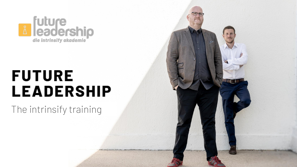

# **FUTURE LEADERSHIP**

The intrinsify training